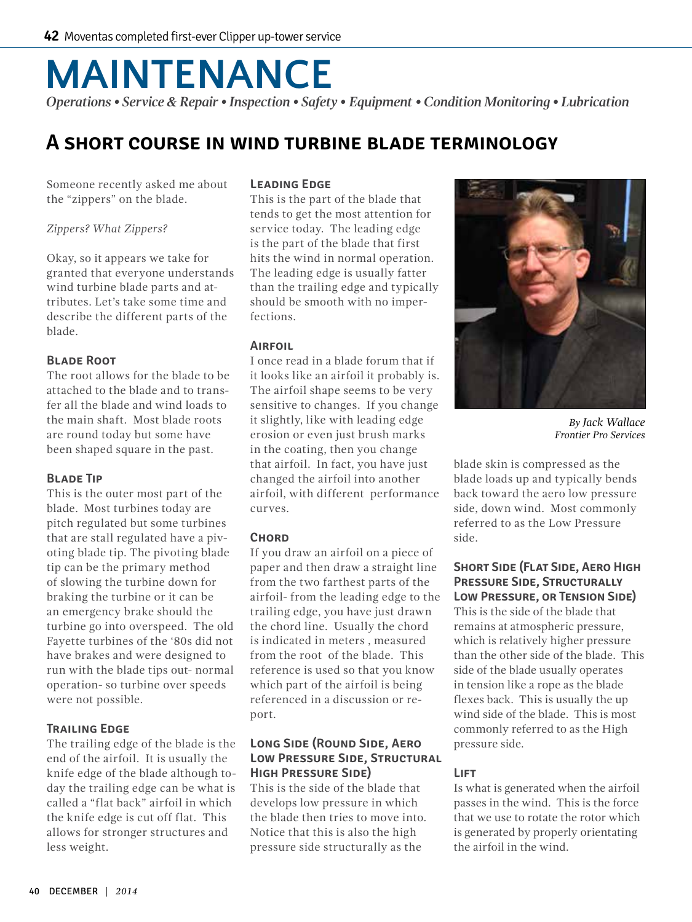# **MAINTENANCE**

*Operations • Service & Repair • Inspection • Safety • Equipment • Condition Monitoring • Lubrication*

# **A short course in wind turbine blade terminology**

Someone recently asked me about the "zippers" on the blade.

#### *Zippers? What Zippers?*

Okay, so it appears we take for granted that everyone understands wind turbine blade parts and attributes. Let's take some time and describe the different parts of the blade.

#### **Blade Root**

The root allows for the blade to be attached to the blade and to transfer all the blade and wind loads to the main shaft. Most blade roots are round today but some have been shaped square in the past.

#### **Blade Tip**

This is the outer most part of the blade. Most turbines today are pitch regulated but some turbines that are stall regulated have a pivoting blade tip. The pivoting blade tip can be the primary method of slowing the turbine down for braking the turbine or it can be an emergency brake should the turbine go into overspeed. The old Fayette turbines of the '80s did not have brakes and were designed to run with the blade tips out- normal operation- so turbine over speeds were not possible.

#### **Trailing Edge**

The trailing edge of the blade is the end of the airfoil. It is usually the knife edge of the blade although today the trailing edge can be what is called a "flat back" airfoil in which the knife edge is cut off flat. This allows for stronger structures and less weight.

#### **Leading Edge**

This is the part of the blade that tends to get the most attention for service today. The leading edge is the part of the blade that first hits the wind in normal operation. The leading edge is usually fatter than the trailing edge and typically should be smooth with no imperfections.

#### **Airfoil**

I once read in a blade forum that if it looks like an airfoil it probably is. The airfoil shape seems to be very sensitive to changes. If you change it slightly, like with leading edge erosion or even just brush marks in the coating, then you change that airfoil. In fact, you have just changed the airfoil into another airfoil, with different performance curves.

#### **Chord**

If you draw an airfoil on a piece of paper and then draw a straight line from the two farthest parts of the airfoil- from the leading edge to the trailing edge, you have just drawn the chord line. Usually the chord is indicated in meters , measured from the root of the blade. This reference is used so that you know which part of the airfoil is being referenced in a discussion or report.

#### **Long Side (Round Side, Aero Low Pressure Side, Structural High Pressure Side)**

This is the side of the blade that develops low pressure in which the blade then tries to move into. Notice that this is also the high pressure side structurally as the



*By Jack Wallace Frontier Pro Services*

blade skin is compressed as the blade loads up and typically bends back toward the aero low pressure side, down wind. Most commonly referred to as the Low Pressure side.

## **Short Side (Flat Side, Aero High Pressure Side, Structurally Low Pressure, or Tension Side)**

This is the side of the blade that remains at atmospheric pressure, which is relatively higher pressure than the other side of the blade. This side of the blade usually operates in tension like a rope as the blade flexes back. This is usually the up wind side of the blade. This is most commonly referred to as the High pressure side.

## **LIFT**

Is what is generated when the airfoil passes in the wind. This is the force that we use to rotate the rotor which is generated by properly orientating the airfoil in the wind.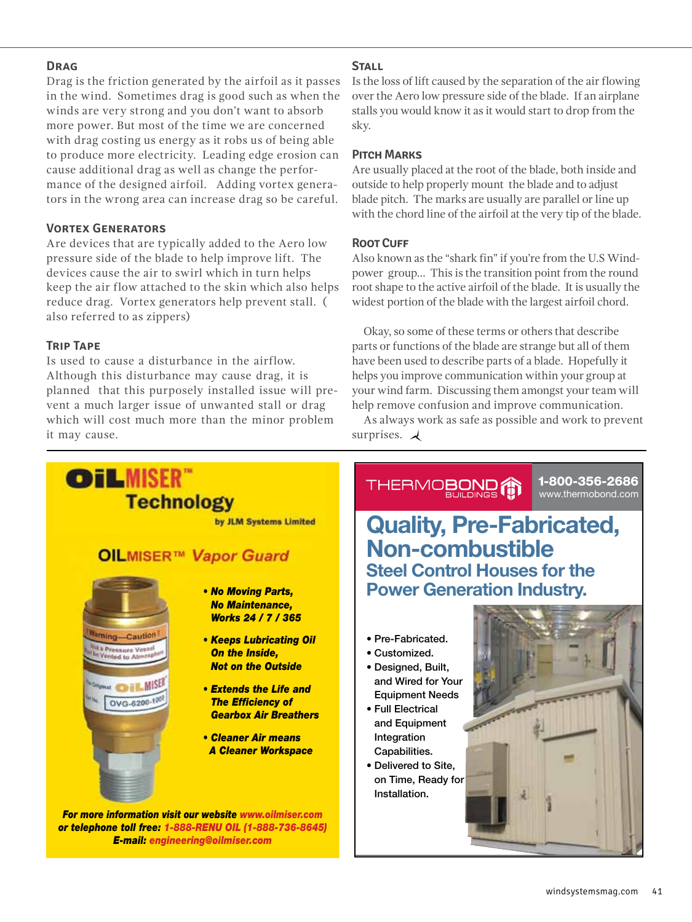#### **Drag**

Drag is the friction generated by the airfoil as it passes in the wind. Sometimes drag is good such as when the winds are very strong and you don't want to absorb more power. But most of the time we are concerned with drag costing us energy as it robs us of being able to produce more electricity. Leading edge erosion can cause additional drag as well as change the performance of the designed airfoil. Adding vortex generators in the wrong area can increase drag so be careful.

## **Vortex Generators**

Are devices that are typically added to the Aero low pressure side of the blade to help improve lift. The devices cause the air to swirl which in turn helps keep the air flow attached to the skin which also helps reduce drag. Vortex generators help prevent stall. ( also referred to as zippers)

## **Trip Tape**

Is used to cause a disturbance in the airflow. Although this disturbance may cause drag, it is planned that this purposely installed issue will prevent a much larger issue of unwanted stall or drag which will cost much more than the minor problem it may cause.

#### **Stall**

Is the loss of lift caused by the separation of the air flowing over the Aero low pressure side of the blade. If an airplane stalls you would know it as it would start to drop from the sky.

#### **Pitch Marks**

Are usually placed at the root of the blade, both inside and outside to help properly mount the blade and to adjust blade pitch. The marks are usually are parallel or line up with the chord line of the airfoil at the very tip of the blade.

## **Root Cuff**

Also known as the "shark fin" if you're from the U.S Windpower group… This is the transition point from the round root shape to the active airfoil of the blade. It is usually the widest portion of the blade with the largest airfoil chord.

Okay, so some of these terms or others that describe parts or functions of the blade are strange but all of them have been used to describe parts of a blade. Hopefully it helps you improve communication within your group at your wind farm. Discussing them amongst your team will help remove confusion and improve communication.

As always work as safe as possible and work to prevent surprises.  $\lambda$ 



**OILMISER™ Vapor Guard** 

**Technology** 



**OILMISER** 

#### *• No Moving Parts, No Maintenance, Works 24 / 7 / 365*

by JLM Systems Limited

- *Keeps Lubricating Oil On the Inside, Not on the Outside*
- *Extends the Life and The Efficiency of Gearbox Air Breathers*
- *Cleaner Air means A Cleaner Workspace*

*For more information visit our website [www.oilmiser.com](http://www.oilmiser.com) or telephone toll free: 1-888-RENU OIL (1-888-736-8645) E-mail: [engineering@oilmiser.com](mailto:engineering@oilmiser.com?subject=Referred by Wind Systems)*